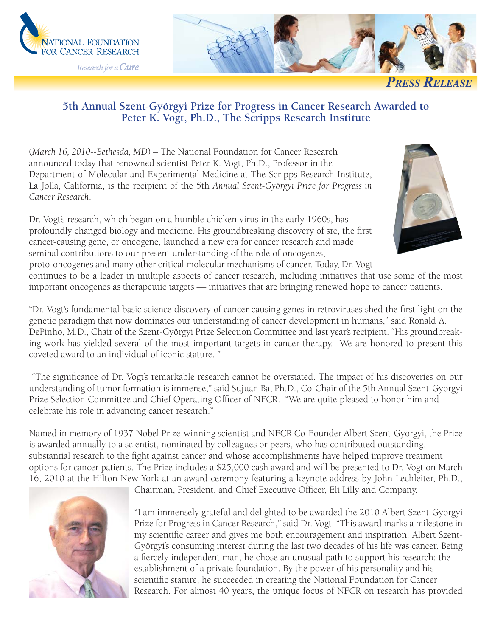



**PRESS RELEASE** 

## **5th Annual Szent-Györgyi Prize for Progress in Cancer Research Awarded to Peter K. Vogt, Ph.D., The Scripps Research Institute**

(*March 16, 2010--Bethesda, MD*) – The National Foundation for Cancer Research announced today that renowned scientist Peter K. Vogt, Ph.D., Professor in the Department of Molecular and Experimental Medicine at The Scripps Research Institute, La Jolla, California, is the recipient of the 5th *Annual Szent-Györgyi Prize for Progress in Cancer Research*.



Dr. Vogt's research, which began on a humble chicken virus in the early 1960s, has profoundly changed biology and medicine. His groundbreaking discovery of src, the first cancer-causing gene, or oncogene, launched a new era for cancer research and made seminal contributions to our present understanding of the role of oncogenes, proto-oncogenes and many other critical molecular mechanisms of cancer. Today, Dr. Vogt

continues to be a leader in multiple aspects of cancer research, including initiatives that use some of the most important oncogenes as therapeutic targets — initiatives that are bringing renewed hope to cancer patients.

"Dr. Vogt's fundamental basic science discovery of cancer-causing genes in retroviruses shed the first light on the genetic paradigm that now dominates our understanding of cancer development in humans," said Ronald A. DePinho, M.D., Chair of the Szent-Györgyi Prize Selection Committee and last year's recipient. "His groundbreaking work has yielded several of the most important targets in cancer therapy. We are honored to present this coveted award to an individual of iconic stature. "

"The significance of Dr. Vogt's remarkable research cannot be overstated. The impact of his discoveries on our understanding of tumor formation is immense," said Sujuan Ba, Ph.D., Co-Chair of the 5th Annual Szent-Györgyi Prize Selection Committee and Chief Operating Officer of NFCR. "We are quite pleased to honor him and celebrate his role in advancing cancer research."

Named in memory of 1937 Nobel Prize-winning scientist and NFCR Co-Founder Albert Szent-Györgyi, the Prize is awarded annually to a scientist, nominated by colleagues or peers, who has contributed outstanding, substantial research to the fight against cancer and whose accomplishments have helped improve treatment options for cancer patients. The Prize includes a \$25,000 cash award and will be presented to Dr. Vogt on March 16, 2010 at the Hilton New York at an award ceremony featuring a keynote address by John Lechleiter, Ph.D.,



Chairman, President, and Chief Executive Officer, Eli Lilly and Company.

"I am immensely grateful and delighted to be awarded the 2010 Albert Szent-Györgyi Prize for Progress in Cancer Research," said Dr. Vogt. "This award marks a milestone in my scientific career and gives me both encouragement and inspiration. Albert Szent-Györgyi's consuming interest during the last two decades of his life was cancer. Being a fiercely independent man, he chose an unusual path to support his research: the establishment of a private foundation. By the power of his personality and his scientific stature, he succeeded in creating the National Foundation for Cancer Research. For almost 40 years, the unique focus of NFCR on research has provided